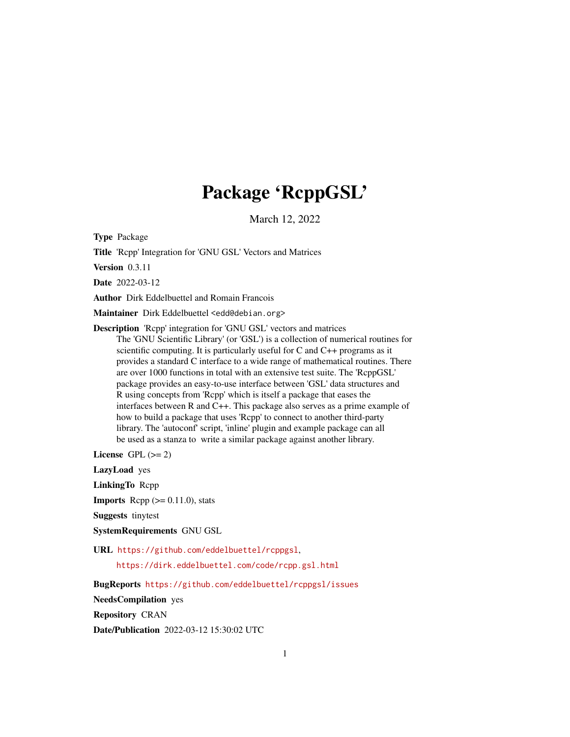## Package 'RcppGSL'

March 12, 2022

<span id="page-0-0"></span>Type Package

Title 'Rcpp' Integration for 'GNU GSL' Vectors and Matrices

Version 0.3.11

Date 2022-03-12

Author Dirk Eddelbuettel and Romain Francois

Maintainer Dirk Eddelbuettel <edd@debian.org>

Description 'Rcpp' integration for 'GNU GSL' vectors and matrices The 'GNU Scientific Library' (or 'GSL') is a collection of numerical routines for scientific computing. It is particularly useful for C and C++ programs as it provides a standard C interface to a wide range of mathematical routines. There are over 1000 functions in total with an extensive test suite. The 'RcppGSL' package provides an easy-to-use interface between 'GSL' data structures and R using concepts from 'Rcpp' which is itself a package that eases the interfaces between R and C++. This package also serves as a prime example of how to build a package that uses 'Rcpp' to connect to another third-party library. The 'autoconf' script, 'inline' plugin and example package can all be used as a stanza to write a similar package against another library.

License GPL  $(>= 2)$ 

LazyLoad yes

LinkingTo Rcpp

**Imports** Rcpp  $(>= 0.11.0)$ , stats

Suggests tinytest

SystemRequirements GNU GSL

URL <https://github.com/eddelbuettel/rcppgsl>,

<https://dirk.eddelbuettel.com/code/rcpp.gsl.html>

BugReports <https://github.com/eddelbuettel/rcppgsl/issues>

NeedsCompilation yes

Repository CRAN

Date/Publication 2022-03-12 15:30:02 UTC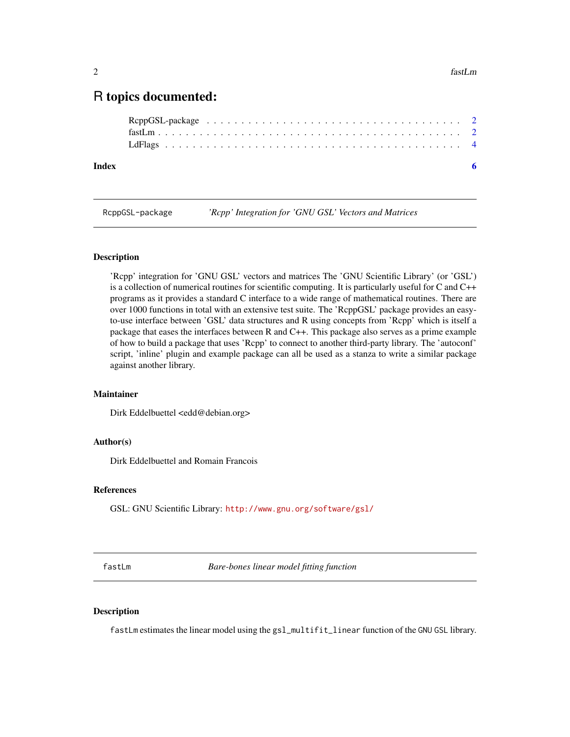### <span id="page-1-0"></span>R topics documented:

RcppGSL-package *'Rcpp' Integration for 'GNU GSL' Vectors and Matrices*

#### Description

'Rcpp' integration for 'GNU GSL' vectors and matrices The 'GNU Scientific Library' (or 'GSL') is a collection of numerical routines for scientific computing. It is particularly useful for C and C++ programs as it provides a standard C interface to a wide range of mathematical routines. There are over 1000 functions in total with an extensive test suite. The 'RcppGSL' package provides an easyto-use interface between 'GSL' data structures and R using concepts from 'Rcpp' which is itself a package that eases the interfaces between R and C++. This package also serves as a prime example of how to build a package that uses 'Rcpp' to connect to another third-party library. The 'autoconf' script, 'inline' plugin and example package can all be used as a stanza to write a similar package against another library.

#### Maintainer

Dirk Eddelbuettel <edd@debian.org>

#### Author(s)

Dirk Eddelbuettel and Romain Francois

#### References

GSL: GNU Scientific Library: <http://www.gnu.org/software/gsl/>

fastLm *Bare-bones linear model fitting function*

#### Description

fastLm estimates the linear model using the gsl\_multifit\_linear function of the GNU GSL library.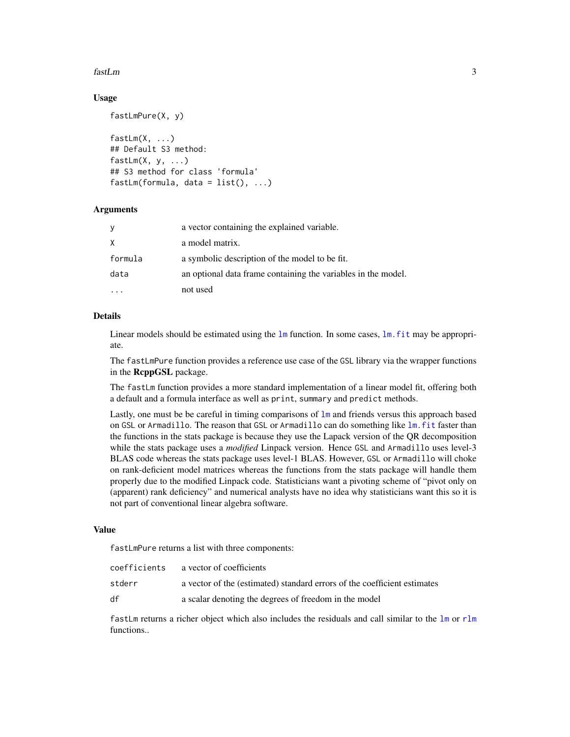#### <span id="page-2-0"></span>fastLm 3

#### Usage

```
fastLmPure(X, y)
fastLm(X, ...)
## Default S3 method:
fastLm(X, y, ...)## S3 method for class 'formula'
fastLm(formula, data = list(), ...)
```
#### **Arguments**

| У       | a vector containing the explained variable.                   |
|---------|---------------------------------------------------------------|
| X.      | a model matrix.                                               |
| formula | a symbolic description of the model to be fit.                |
| data    | an optional data frame containing the variables in the model. |
|         | not used                                                      |

#### Details

Linear models should be estimated using the  $\text{Im}$  function. In some cases,  $\text{Im}$ , fit may be appropriate.

The fastLmPure function provides a reference use case of the GSL library via the wrapper functions in the RcppGSL package.

The fastLm function provides a more standard implementation of a linear model fit, offering both a default and a formula interface as well as print, summary and predict methods.

Lastly, one must be be careful in timing comparisons of [lm](#page-0-0) and friends versus this approach based on GSL or Armadillo. The reason that GSL or Armadillo can do something like [lm.fit](#page-0-0) faster than the functions in the stats package is because they use the Lapack version of the QR decomposition while the stats package uses a *modified* Linpack version. Hence GSL and Armadillo uses level-3 BLAS code whereas the stats package uses level-1 BLAS. However, GSL or Armadillo will choke on rank-deficient model matrices whereas the functions from the stats package will handle them properly due to the modified Linpack code. Statisticians want a pivoting scheme of "pivot only on (apparent) rank deficiency" and numerical analysts have no idea why statisticians want this so it is not part of conventional linear algebra software.

#### Value

fastLmPure returns a list with three components:

| coefficients | a vector of coefficients                                                 |
|--------------|--------------------------------------------------------------------------|
| stderr       | a vector of the (estimated) standard errors of the coefficient estimates |
| df           | a scalar denoting the degrees of freedom in the model                    |

fastLm returns a richer object which also includes the residuals and call similar to the [lm](#page-0-0) or [rlm](#page-0-0) functions..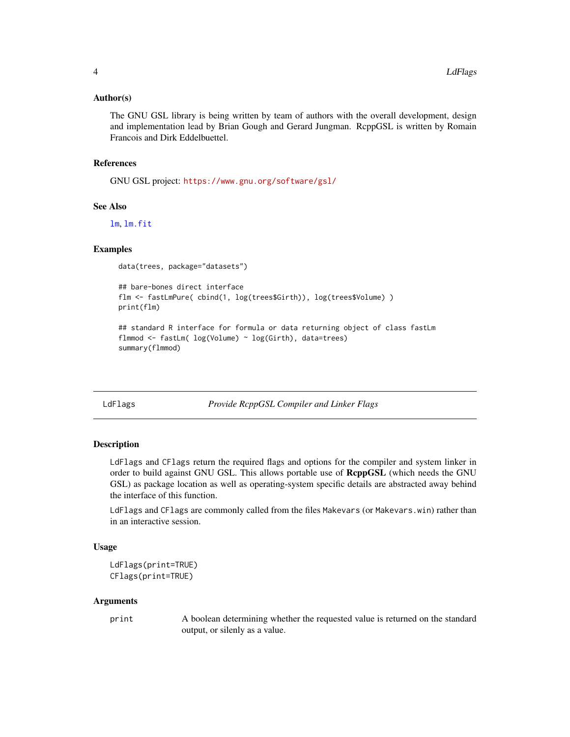#### <span id="page-3-0"></span>Author(s)

The GNU GSL library is being written by team of authors with the overall development, design and implementation lead by Brian Gough and Gerard Jungman. RcppGSL is written by Romain Francois and Dirk Eddelbuettel.

#### References

GNU GSL project: <https://www.gnu.org/software/gsl/>

#### See Also

[lm](#page-0-0), [lm.fit](#page-0-0)

#### Examples

data(trees, package="datasets")

```
## bare-bones direct interface
flm <- fastLmPure( cbind(1, log(trees$Girth)), log(trees$Volume) )
print(flm)
```

```
## standard R interface for formula or data returning object of class fastLm
flmmod <- fastLm( log(Volume) ~ log(Girth), data=trees)
summary(flmmod)
```
LdFlags *Provide RcppGSL Compiler and Linker Flags*

#### Description

LdFlags and CFlags return the required flags and options for the compiler and system linker in order to build against GNU GSL. This allows portable use of RcppGSL (which needs the GNU GSL) as package location as well as operating-system specific details are abstracted away behind the interface of this function.

LdFlags and CFlags are commonly called from the files Makevars (or Makevars.win) rather than in an interactive session.

#### Usage

```
LdFlags(print=TRUE)
CFlags(print=TRUE)
```
#### Arguments

print A boolean determining whether the requested value is returned on the standard output, or silenly as a value.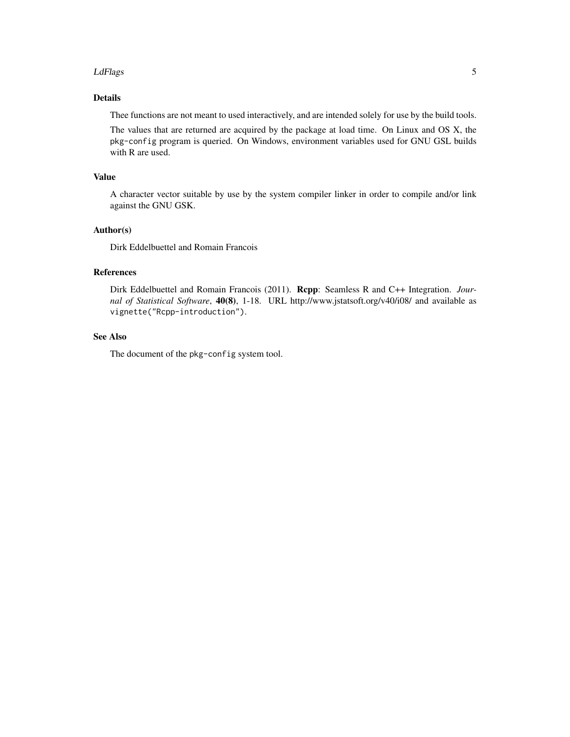#### LdFlags 5

#### Details

Thee functions are not meant to used interactively, and are intended solely for use by the build tools.

The values that are returned are acquired by the package at load time. On Linux and OS X, the pkg-config program is queried. On Windows, environment variables used for GNU GSL builds with R are used.

#### Value

A character vector suitable by use by the system compiler linker in order to compile and/or link against the GNU GSK.

#### Author(s)

Dirk Eddelbuettel and Romain Francois

#### References

Dirk Eddelbuettel and Romain Francois (2011). Rcpp: Seamless R and C++ Integration. *Journal of Statistical Software*, 40(8), 1-18. URL http://www.jstatsoft.org/v40/i08/ and available as vignette("Rcpp-introduction").

#### See Also

The document of the pkg-config system tool.